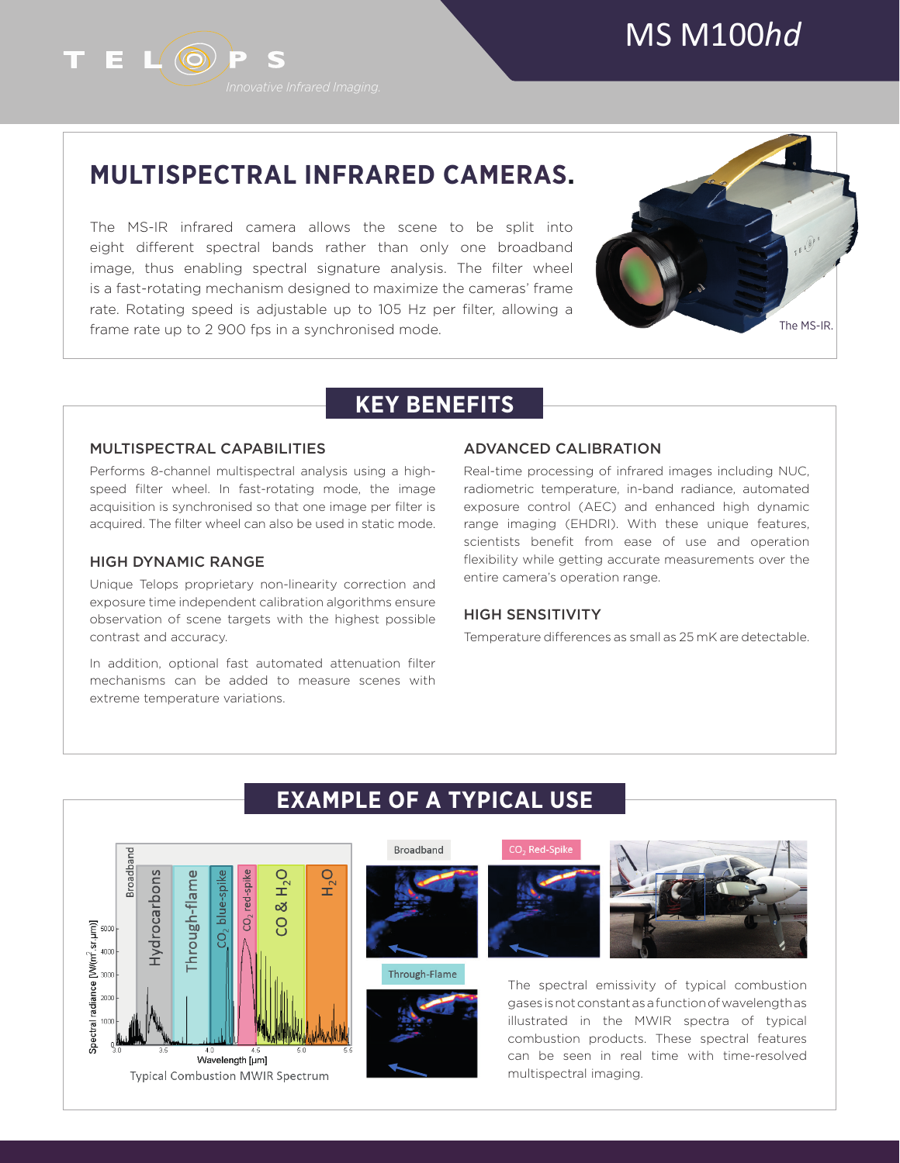# MS M100*hd*

T E L(O) P S

# **MULTISPECTRAL INFRARED CAMERAS.**

The MS-IR infrared camera allows the scene to be split into eight different spectral bands rather than only one broadband image, thus enabling spectral signature analysis. The filter wheel is a fast-rotating mechanism designed to maximize the cameras' frame rate. Rotating speed is adjustable up to 105 Hz per filter, allowing a frame rate up to 2 900 fps in a synchronised mode.



# **KEY BENEFITS**

### MULTISPECTRAL CAPABILITIES

Performs 8-channel multispectral analysis using a highspeed filter wheel. In fast-rotating mode, the image acquisition is synchronised so that one image per filter is acquired. The filter wheel can also be used in static mode.

#### HIGH DYNAMIC RANGE

Unique Telops proprietary non-linearity correction and exposure time independent calibration algorithms ensure observation of scene targets with the highest possible contrast and accuracy.

In addition, optional fast automated attenuation filter mechanisms can be added to measure scenes with extreme temperature variations.

## ADVANCED CALIBRATION

Real-time processing of infrared images including NUC, radiometric temperature, in-band radiance, automated exposure control (AEC) and enhanced high dynamic range imaging (EHDRI). With these unique features, scientists benefit from ease of use and operation flexibility while getting accurate measurements over the entire camera's operation range.

#### HIGH SENSITIVITY

Temperature differences as small as 25 mK are detectable.



## **EXAMPLE OF A TYPICAL USE**









The spectral emissivity of typical combustion gases is not constant as a function of wavelength as illustrated in the MWIR spectra of typical combustion products. These spectral features can be seen in real time with time-resolved multispectral imaging.